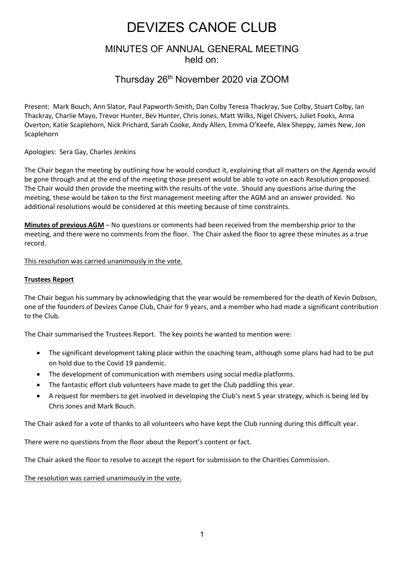# DEVIZES CANOE CLUB

### MINUTES OF ANNUAL GENERAL MEETING held on:

## Thursday 26th November 2020 via ZOOM

Present: Mark Bouch, Ann Slator, Paul Papworth-Smith, Dan Colby Tereza Thackray, Sue Colby, Stuart Colby, Ian Thackray, Charlie Mayo, Trevor Hunter, Bev Hunter, Chris Jones, Matt Wilks, Nigel Chivers, Juliet Fooks, Anna Overton, Katie Scaplehorn, Nick Prichard, Sarah Cooke, Andy Allen, Emma O'Keefe, Alex Sheppy, James New, Jon **Scaplehorn** 

Apologies: Sera Gay, Charles Jenkins

The Chair began the meeting by outlining how he would conduct it, explaining that all matters on the Agenda would be gone through and at the end of the meeting those present would be able to vote on each Resolution proposed. The Chair would then provide the meeting with the results of the vote. Should any questions arise during the meeting, these would be taken to the first management meeting after the AGM and an answer provided. No additional resolutions would be considered at this meeting because of time constraints.

**Minutes of previous AGM** – No questions or comments had been received from the membership prior to the meeting, and there were no comments from the floor. The Chair asked the floor to agree these minutes as a true record.

This resolution was carried unanimously in the vote.

#### **Trustees Report**

The Chair begun his summary by acknowledging that the year would be remembered for the death of Kevin Dobson, one of the founders of Devizes Canoe Club, Chair for 9 years, and a member who had made a significant contribution to the Club.

The Chair summarised the Trustees Report. The key points he wanted to mention were:

- The significant development taking place within the coaching team, although some plans had had to be put on hold due to the Covid 19 pandemic.
- The development of communication with members using social media platforms.
- The fantastic effort club volunteers have made to get the Club paddling this year.
- A request for members to get involved in developing the Club's next 5 year strategy, which is being led by Chris Jones and Mark Bouch.

The Chair asked for a vote of thanks to all volunteers who have kept the Club running during this difficult year.

There were no questions from the floor about the Report's content or fact.

The Chair asked the floor to resolve to accept the report for submission to the Charities Commission.

#### The resolution was carried unanimously in the vote.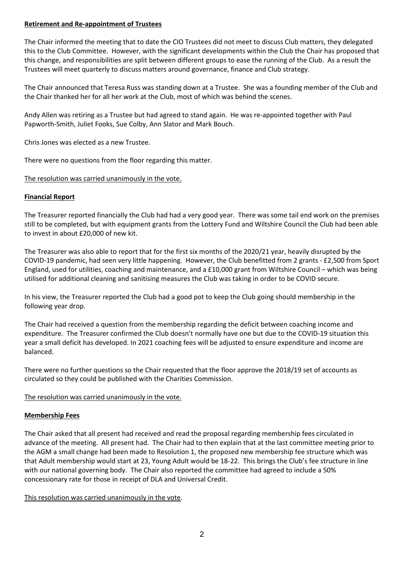#### **Retirement and Re-appointment of Trustees**

The Chair informed the meeting that to date the CIO Trustees did not meet to discuss Club matters, they delegated this to the Club Committee. However, with the significant developments within the Club the Chair has proposed that this change, and responsibilities are split between different groups to ease the running of the Club. As a result the Trustees will meet quarterly to discuss matters around governance, finance and Club strategy.

The Chair announced that Teresa Russ was standing down at a Trustee. She was a founding member of the Club and the Chair thanked her for all her work at the Club, most of which was behind the scenes.

Andy Allen was retiring as a Trustee but had agreed to stand again. He was re-appointed together with Paul Papworth-Smith, Juliet Fooks, Sue Colby, Ann Slator and Mark Bouch.

Chris Jones was elected as a new Trustee.

There were no questions from the floor regarding this matter.

#### The resolution was carried unanimously in the vote.

#### **Financial Report**

The Treasurer reported financially the Club had had a very good year. There was some tail end work on the premises still to be completed, but with equipment grants from the Lottery Fund and Wiltshire Council the Club had been able to invest in about £20,000 of new kit.

The Treasurer was also able to report that for the first six months of the 2020/21 year, heavily disrupted by the COVID-19 pandemic, had seen very little happening. However, the Club benefitted from 2 grants - £2,500 from Sport England, used for utilities, coaching and maintenance, and a £10,000 grant from Wiltshire Council – which was being utilised for additional cleaning and sanitising measures the Club was taking in order to be COVID secure.

In his view, the Treasurer reported the Club had a good pot to keep the Club going should membership in the following year drop.

The Chair had received a question from the membership regarding the deficit between coaching income and expenditure. The Treasurer confirmed the Club doesn't normally have one but due to the COVID-19 situation this year a small deficit has developed. In 2021 coaching fees will be adjusted to ensure expenditure and income are balanced.

There were no further questions so the Chair requested that the floor approve the 2018/19 set of accounts as circulated so they could be published with the Charities Commission.

#### The resolution was carried unanimously in the vote.

#### **Membership Fees**

The Chair asked that all present had received and read the proposal regarding membership fees circulated in advance of the meeting. All present had. The Chair had to then explain that at the last committee meeting prior to the AGM a small change had been made to Resolution 1, the proposed new membership fee structure which was that Adult membership would start at 23, Young Adult would be 18-22. This brings the Club's fee structure in line with our national governing body. The Chair also reported the committee had agreed to include a 50% concessionary rate for those in receipt of DLA and Universal Credit.

This resolution was carried unanimously in the vote.